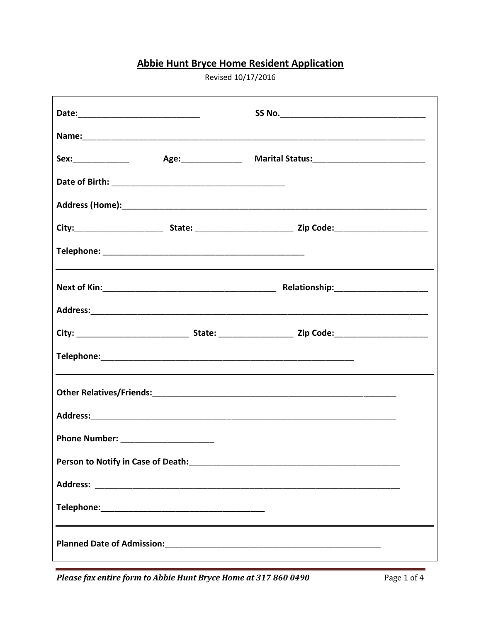## **Abbie Hunt Bryce Home Resident Application**

Revised 10/17/2016

| Next of Kin: Next of Kin: Next of Kin: Next of Kin: Next of Kin: Next of Kin: Next of Kin: Next of Kin: Next of Kin: Next of Kin: Next of Kin: Next of Kin: Next of Kin: Next of Kin: Next of Kin: Next of Kin: Next of Kin: N |  |  |  |
|--------------------------------------------------------------------------------------------------------------------------------------------------------------------------------------------------------------------------------|--|--|--|
|                                                                                                                                                                                                                                |  |  |  |
|                                                                                                                                                                                                                                |  |  |  |
|                                                                                                                                                                                                                                |  |  |  |
|                                                                                                                                                                                                                                |  |  |  |
|                                                                                                                                                                                                                                |  |  |  |
| Phone Number: _______________________                                                                                                                                                                                          |  |  |  |
|                                                                                                                                                                                                                                |  |  |  |
|                                                                                                                                                                                                                                |  |  |  |
|                                                                                                                                                                                                                                |  |  |  |
|                                                                                                                                                                                                                                |  |  |  |

Please fax entire form to Abbie Hunt Bryce Home at 317 860 0490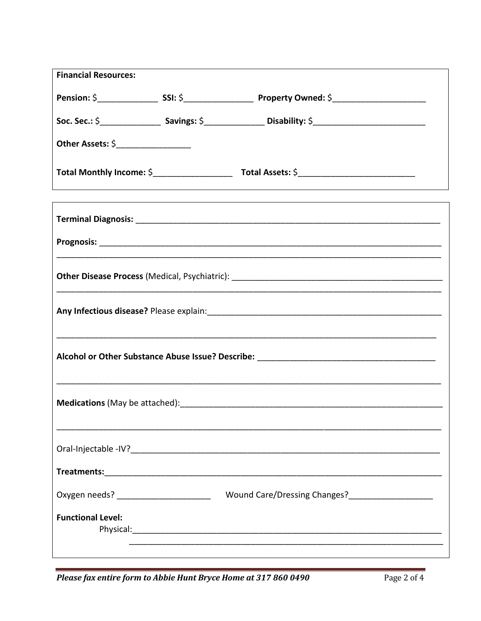| <b>Financial Resources:</b>             |  |                                                   |  |
|-----------------------------------------|--|---------------------------------------------------|--|
|                                         |  |                                                   |  |
|                                         |  |                                                   |  |
| Other Assets: \$___________________     |  |                                                   |  |
|                                         |  |                                                   |  |
|                                         |  |                                                   |  |
|                                         |  |                                                   |  |
|                                         |  |                                                   |  |
|                                         |  |                                                   |  |
|                                         |  |                                                   |  |
|                                         |  |                                                   |  |
|                                         |  |                                                   |  |
|                                         |  |                                                   |  |
|                                         |  |                                                   |  |
| Oxygen needs? _________________________ |  | Wound Care/Dressing Changes?_____________________ |  |
| <b>Functional Level:</b>                |  |                                                   |  |
|                                         |  |                                                   |  |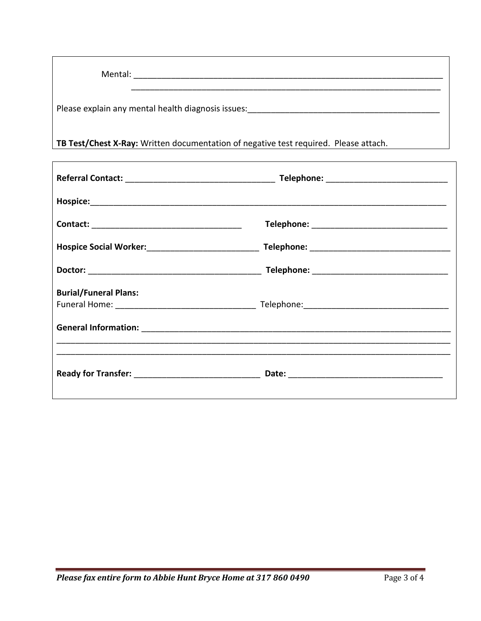| Mental:                                            |  |  |
|----------------------------------------------------|--|--|
| Please explain any mental health diagnosis issues: |  |  |

TB Test/Chest X-Ray: Written documentation of negative test required. Please attach.

| <b>Burial/Funeral Plans:</b> |  |
|------------------------------|--|
|                              |  |